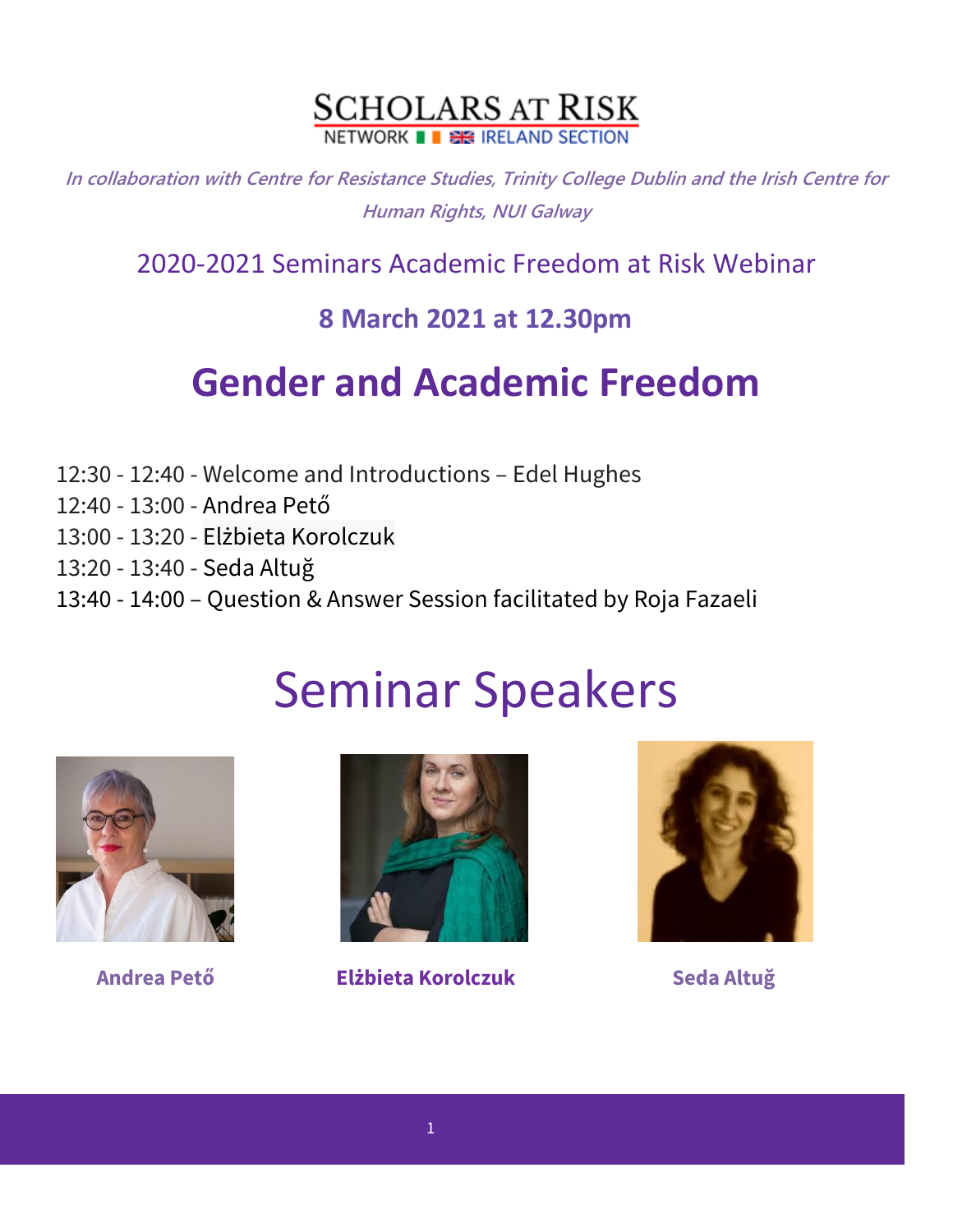

**In collaboration with Centre for Resistance Studies, Trinity College Dublin and the Irish Centre for Human Rights, NUI Galway**

2020-2021 Seminars Academic Freedom at Risk Webinar

## **8 March 2021 at 12.30pm**

## **Gender and Academic Freedom**

- 12:30 12:40 Welcome and Introductions Edel Hughes
- 12:40 13:00 Andrea Pető
- 13:00 13:20 Elżbieta Korolczuk
- 13:20 13:40 Seda Altuğ
- 13:40 14:00 Question & Answer Session facilitated by Roja Fazaeli

## Seminar Speakers





**Andrea Pető Elżbieta Korolczuk Seda Altuğ**